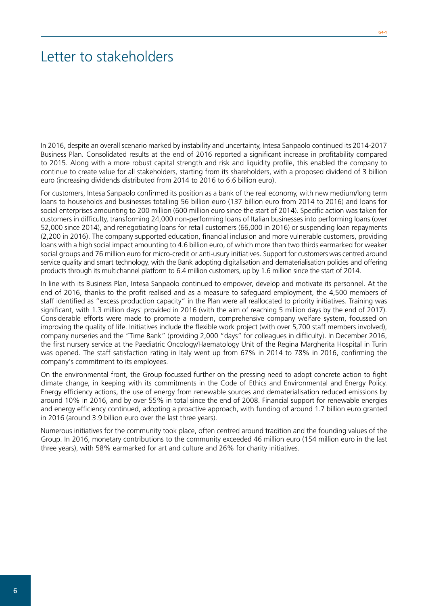## Letter to stakeholders

In 2016, despite an overall scenario marked by instability and uncertainty, Intesa Sanpaolo continued its 2014-2017 Business Plan. Consolidated results at the end of 2016 reported a significant increase in profitability compared to 2015. Along with a more robust capital strength and risk and liquidity profile, this enabled the company to continue to create value for all stakeholders, starting from its shareholders, with a proposed dividend of 3 billion euro (increasing dividends distributed from 2014 to 2016 to 6.6 billion euro).

For customers, Intesa Sanpaolo confirmed its position as a bank of the real economy, with new medium/long term loans to households and businesses totalling 56 billion euro (137 billion euro from 2014 to 2016) and loans for social enterprises amounting to 200 million (600 million euro since the start of 2014). Specific action was taken for customers in difficulty, transforming 24,000 non-performing loans of Italian businesses into performing loans (over 52,000 since 2014), and renegotiating loans for retail customers (66,000 in 2016) or suspending loan repayments (2,200 in 2016). The company supported education, financial inclusion and more vulnerable customers, providing loans with a high social impact amounting to 4.6 billion euro, of which more than two thirds earmarked for weaker social groups and 76 million euro for micro-credit or anti-usury initiatives. Support for customers was centred around service quality and smart technology, with the Bank adopting digitalisation and dematerialisation policies and offering products through its multichannel platform to 6.4 million customers, up by 1.6 million since the start of 2014.

In line with its Business Plan, Intesa Sanpaolo continued to empower, develop and motivate its personnel. At the end of 2016, thanks to the profit realised and as a measure to safeguard employment, the 4,500 members of staff identified as "excess production capacity" in the Plan were all reallocated to priority initiatives. Training was significant, with 1.3 million days' provided in 2016 (with the aim of reaching 5 million days by the end of 2017). Considerable efforts were made to promote a modern, comprehensive company welfare system, focussed on improving the quality of life. Initiatives include the flexible work project (with over 5,700 staff members involved), company nurseries and the "Time Bank" (providing 2,000 "days" for colleagues in difficulty). In December 2016, the first nursery service at the Paediatric Oncology/Haematology Unit of the Regina Margherita Hospital in Turin was opened. The staff satisfaction rating in Italy went up from 67% in 2014 to 78% in 2016, confirming the company's commitment to its employees.

On the environmental front, the Group focussed further on the pressing need to adopt concrete action to fight climate change, in keeping with its commitments in the Code of Ethics and Environmental and Energy Policy. Energy efficiency actions, the use of energy from renewable sources and dematerialisation reduced emissions by around 10% in 2016, and by over 55% in total since the end of 2008. Financial support for renewable energies and energy efficiency continued, adopting a proactive approach, with funding of around 1.7 billion euro granted in 2016 (around 3.9 billion euro over the last three years).

Numerous initiatives for the community took place, often centred around tradition and the founding values of the Group. In 2016, monetary contributions to the community exceeded 46 million euro (154 million euro in the last three years), with 58% earmarked for art and culture and 26% for charity initiatives.